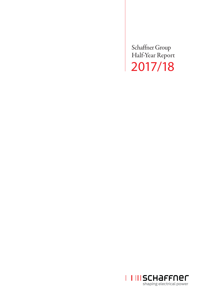Schaffner Group Half-Year Report 2017/18

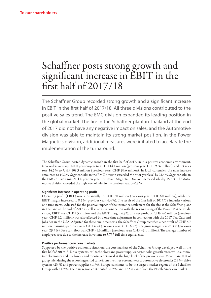# Schafner posts strong growth and signifcant increase in EBIT in the frst half of 2017/18

1

The Schafner Group recorded strong growth and a signifcant increase in EBIT in the frst half of 2017/18. All three divisions contributed to the positive sales trend. The EMC division expanded its leading position in the global market. The fre in the Schafner plant in Thailand at the end of 2017 did not have any negative impact on sales, and the Automotive division was able to maintain its strong market position. In the Power Magnetics division, additional measures were initiated to accelarate the implementation of the turnaround.

The Schaffner Group posted dynamic growth in the first half of 2017/18 in a positive economic environment. New orders were up 14.8 % year-on-year to CHF 114.4 million (previous year: CHF 99.6 million), and net sales rose 14.5 % to CHF 108.3 million (previous year: CHF 94.6 million). In local currencies, the sales increase amounted to 10.2 %. Segment sales in the EMC division exceeded the prior-year level by 21.4 %. Segment sales in the EMC division rose 21.4 % year-on-year. The Power Magnetics Division increased sales by 15.8 %. The Automotive division exceeded the high level of sales in the previous year by 0.8 %.

#### **Significant increase in operating profit**

Operating proft (EBIT) rose substantially to CHF 9.0 million (previous year: CHF 6.0 million), while the EBIT margin increased to 8.3 % (previous year: 6.4 %). The result of the first half of 2017/18 includes various one-time items. Adjusted for the positive impact of the insurance settlement for the fre at the Schafner plant in Tailand at the end of 2017 as well as costs in connection with the restructuring of the Power Magnetics division, EBIT was CHF 7.5 million and the EBIT margin 6.9%. The net profit of CHF 4.0 million (previous year: CHF 4.2 million) was also afected by a one-time adjustment in connection with the 2017 Tax Cuts and Jobs Act in the USA. Adjusted for these one-time items, the Schafner Group recorded a net proft of CHF 5.7 million. Earnings per share were CHF 6.24 (previous year: CHF 6.57). The gross margin was 28.3 % (previous year: 29.9 %). Free cash flow was CHF –1.6 million (previous year: CHF –3.1 million). The average number of employees rose due to the increase in volume to 3,757 full-time equivalents.

#### **Positive performance in core markets**

Supported by the positive economic situation, the core markets of the Schafner Group developed well in the frst half of 2017/18. Drive systems, rail technology and power supplies posted solid growth rates, while automotive electronics and machinery and robotics continued at the high level of the previous year. More than 60 % of group sales during the reporting period came from the three core markets of automotive electronics (24 %), drive systems (23 %) and power supplies (14 %). Europe continues to be the largest market region of the Schafner Group with 44.9 %. The Asia region contributed 35.9 %, and 19.2 % came from the North American market.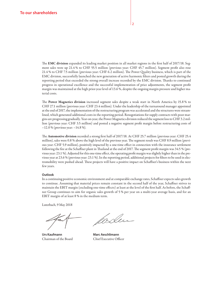The EMC division expanded its leading market position in all market regions in the first half of 2017/18. Segment sales were up 21.4 % to CHF 55.5 million (previous year: CHF 45.7 million). Segment proft also rose 21.4 % to CHF 7.5 million (previous year: CHF 6.2 million). The Power Quality business, which is part of the EMC division, successfully launched the new generation of active harmonic flters and posted growth during the reporting period that exceeded the strong overall increase recorded by the EMC division. Tanks to continued progress in operational excellence and the successful implementation of price adjustments, the segment proft margin was maintained at the high prior-year level of 13.6 %, despite the ongoing margin pressure and higher material costs.

The Power Magnetics division increased segment sales despite a weak start in North America by 15.8 % to CHF 27.1 million (previous year: CHF 23.4 million). Under the leadership of the turnaround manager appointed at the end of 2017, the implementation of the restructuring program was accelerated and the structures were streamlined, which generated additional costs in the reporting period. Renegotiations for supply contracts with poor margins are progressing gradually. Year-on-year, the Power Magnetics division reduced the segment loss to CHF 3.2 million (previous year: CHF 3.5 million) and posted a negative segment proft margin before restructuring costs of –12.0 % (previous year: –14.8 %).

The Automotive division recorded a strong first half of 2017/18. At CHF 25.7 million (previous year: CHF 25.4 million), sales were 0.8 % above the high level of the previous year. The segment result was CHF 8.9 million (previous year: CHF 5.9 million), positively impacted by a one-time efect in connection with the insurance settlement following the fire at the Schaffner plant in Thailand at the end of 2017. The segment profit margin was 34.5 % (previous year: 23.1 %). Adjusted for this one-time efect, the operating proft margin was slightly higher than in the previous year at 23.6 % (previous year: 23.1 %). In the reporting period, additional projects for flters to be used in electromobility were pushed ahead. These projects will have a positive impact on Schaffner's business within the next few years.

#### **Outlook**

In a continuing positive economic environment and at comparable exchange rates, Schafner expects sales growth to continue. Assuming that material prices remain constant in the second half of the year, Schafner strives to maintain the EBIT margin (excluding one-time efects) at least at the level of the frst half. As before, the Schafner Group continues to aim for organic sales growth of 5 % per year on a multi-year average basis, and for an EBIT margin of at least 8 % in the medium term.

Luterbach, 9 May 2018

Urs Kaufmann **Marc Aeschlimann** Chairman of the Board Chief Executive Officer

/12 d/1.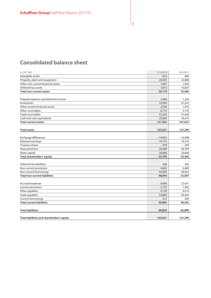# **Consolidated balance sheet**

| In CHF '000                                | 31.3.2018     | 30.9.2017     |
|--------------------------------------------|---------------|---------------|
| Intangible assets                          | 672           | 685           |
| Property, plant and equipment              | 24,587        | 23,088        |
| Other non-current financial assets         | 1,047         | 1,056         |
| Deferred tax assets                        | 7,813         | 10,837        |
| <b>Total non-current assets</b>            | 34,119        | 35,666        |
| Prepaid expenses and deferred income       | 2,366         | 1,226         |
| Inventories                                | 37,603        | 37,222        |
| Other current financial assets             | 2,556         | 1,916         |
| Other receivables                          | 6,774         | 3,155         |
| Trade receivables                          | 47,203        | 41,640        |
| Cash and cash equivalents                  | 25,000        | 16,474        |
| <b>Total current assets</b>                | 121,502       | 101,633       |
|                                            |               |               |
| <b>Total assets</b>                        | 155,621       | 137,299       |
|                                            |               |               |
| Exchange differences                       | $-14,952$     | $-16,968$     |
| Retained earnings                          | 14,175        | 10,216        |
| Treasury shares                            | $-479$        | $-299$        |
| Share premium                              | 36,380        | 40,783        |
| Share capital                              | 20,668        | 20,668        |
| <b>Total shareholders' equity</b>          | 55,792        | 54,400        |
|                                            |               |               |
| Deferred tax liabilities                   | 436           | 365           |
| Non-current provisions                     | 4,603         | 4,480         |
| Non-current borrowings                     | 43,905        | 28,852        |
| <b>Total non-current liabilities</b>       | 48,944        | 33,697        |
|                                            |               |               |
| Accrued expenses<br>Current provisions     | 9,990         | 12,431        |
|                                            | 3,152         | 1,492         |
| Other payables                             | 4,729         | 4,619         |
| Trade payables                             | 32,802<br>212 | 30,454<br>206 |
| Current borrowings                         |               |               |
| <b>Total current liabilities</b>           | 50,885        | 49,202        |
| <b>Total liabilities</b>                   | 99,829        | 82,899        |
| Total liabilities and shareholders' equity | 155,621       | 137,299       |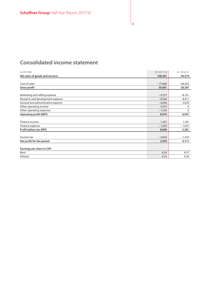# **Consolidated income statement**

| In CHF '000                        | H1 2017/18 | H1 2016/17 |
|------------------------------------|------------|------------|
| Net sales of goods and services    | 108,281    | 94,579     |
|                                    |            |            |
| Cost of sales                      | $-77,600$  | $-66,292$  |
| <b>Gross profit</b>                | 30,681     | 28,287     |
|                                    |            |            |
| Marketing and selling expense      | $-9,337$   | $-8,161$   |
| Research and development expense   | $-8,546$   | $-8,411$   |
| General and administrative expense | $-6,696$   | $-5,678$   |
| Other operating income             | 4,410      | 0          |
| Other operating expenses           | $-1,536$   | $\Omega$   |
| <b>Operating profit (EBIT)</b>     | 8,976      | 6,037      |
|                                    |            |            |
| Finance income                     | 1,267      | 1,181      |
| Finance expense                    | $-1,634$   | $-1,637$   |
| Profit before tax (EBT)            | 8,609      | 5,581      |
|                                    |            |            |
| Income tax                         | $-4,650$   | $-1,410$   |
| Net profit for the period          | 3,959      | 4,171      |
|                                    |            |            |
| Earnings per share in CHF          |            |            |
| <b>Basic</b>                       | 6.24       | 6.57       |
| Diluted                            | 6.23       | 6.56       |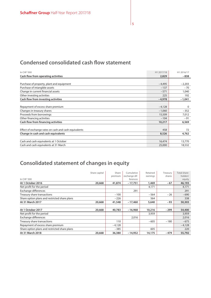# **Condensed consolidated cash flow statement**

| In CHF '000                                           | H1 2017/18 | H1 2016/17 |
|-------------------------------------------------------|------------|------------|
| Cash flow from operating activities                   | 2,829      | $-838$     |
|                                                       |            |            |
| Purchase of property, plant and equipment             | $-4,495$   | $-2,203$   |
| Purchase of intangible assets                         | $-137$     | $-70$      |
| Change in current financial assets                    | $-571$     | 1,040      |
| Other investing activities                            | 225        | 192        |
| Cash flow from investing activities                   | $-4,978$   | $-1,041$   |
|                                                       |            |            |
| Repayment of excess share premium                     | $-4,128$   | 0          |
| Changes in treasury shares                            | $-1,060$   | $-352$     |
| Proceeds from borrowings                              | 15,509     | 7,012      |
| Other financing activities                            | $-104$     | $-91$      |
| Cash flow from financing activities                   | 10,217     | 6,569      |
|                                                       |            |            |
| Effect of exchange rates on cash and cash equivalents | 458        | 72         |
| Change in cash and cash equivalents                   | 8,526      | 4,762      |
|                                                       |            |            |
| Cash and cash equivalents at 1 October                | 16,474     | 13,770     |
| Cash and cash equivalents at 31 March                 | 25,000     | 18,532     |

# **Consolidated statement of changes in equity**

|                                               | Share capital | Share    | Cumulative    | Retained | Treasury | Total share- |
|-----------------------------------------------|---------------|----------|---------------|----------|----------|--------------|
|                                               |               | premium  | exchange dif- | earnings | shares   | holders'     |
| In CHF '000                                   |               |          | ferences      |          |          | equity       |
| At 1 October 2016                             | 20,668        | 41,874   | $-17,751$     | 1,469    | $-67$    | 46,193       |
| Net profit for the period                     |               |          |               | 4,171    |          | 4,171        |
| Exchange differences                          |               |          | 291           |          |          | 291          |
| Treasury share transactions                   |               | $-100$   |               | $-564$   | $-26$    | $-690$       |
| Share option plans and restricted share plans |               | $-226$   |               | 564      |          | 338          |
| At 31 March 2017                              | 20,668        | 41,548   | $-17,460$     | 5,640    | $-93$    | 50,303       |
|                                               |               |          |               |          |          |              |
| At 1 October 2017                             | 20,668        | 40,783   | $-16,968$     | 10,216   | $-299$   | 54,400       |
| Net profit for the period                     |               |          |               | 3,959    |          | 3,959        |
| Exchange differences                          |               |          | 2,016         |          |          | 2,016        |
| Treasury share transactions                   |               | 110      |               | $-605$   | $-180$   | $-675$       |
| Repayment of excess share premium             |               | $-4,128$ |               |          |          | $-4,128$     |
| Share option plans and restricted share plans |               | $-385$   |               | 605      |          | 220          |
| At 31 March 2018                              | 20,668        | 36,380   | - 14,952      | 14,175   | $-479$   | 55,792       |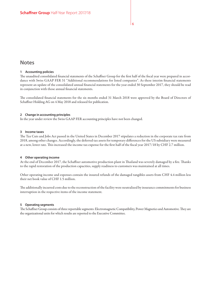# **Notes**

#### **1 Accounting policies**

The unaudited consolidated financial statements of the Schaffner Group for the first half of the fiscal year were prepared in accordance with Swiss GAAP FER 31 "Additional recommendations for listed companies". As these interim fnancial statements represent an update of the consolidated annual fnancial statements for the year ended 30 September 2017, they should be read in conjunction with those annual fnancial statements.

The consolidated financial statements for the six months ended 31 March 2018 were approved by the Board of Directors of Schaffner Holding AG on 4 May 2018 and released for publication.

#### **2 Change in accounting principles**

In the year under review the Swiss GAAP FER accounting principles have not been changed.

#### **3 Income taxes**

The Tax Cuts and Jobs Act passed in the United States in December 2017 stipulates a reduction in the corporate tax rate from 2018, among other changes. Accordingly, the deferred tax assets for temporary diferences for the US subsidiary were measured at a new, lower rate. This increased the income tax expense for the first half of the fiscal year 2017/18 by CHF 2.7 million.

#### **4 Other operating income**

At the end of December 2017, the Schafner automotive production plant in Tailand was severely damaged by a fre. Tanks to the rapid restoration of the production capacities, supply readiness to customers was maintained at all times.

Other operating income and expenses contain the insured refunds of the damaged tangibles assets from CHF 4.4 million less their net book value of CHF 1.5 million.

The additionally incurred costs due to the reconstruction of the facility were neutralized by insurance commitments for business interruption in the respective items of the income statement.

#### **5 Operating segments**

The Schaffner Group consists of three reportable segments: Electromagnetic Compatibility, Power Magnetics and Automotive. They are the organizational units for which results are reported to the Executive Committee.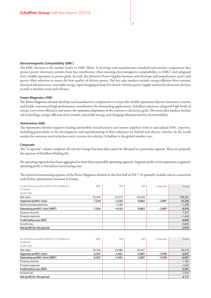#### **Electromagnetic Compatibility (EMC)**

The EMC division is the market leader in EMC filters. It develops and manufactures standard and custom components that protect power electronic systems from line interference (thus ensuring electromagnetic compatibility, or EMC) and safeguard their reliable operation in power grids. As well, the division's Power Quality business unit develops and manufactures active and passive filter solutions to assure the best quality of electric power. The key sales markets include energy-efficient drive systems, electrical infrastructure, renewable energy, rapid charging systems for electric vehicles, power supply systems for electronic devices, as well as machine tools and robotics.

#### **Power Magnetics (PM)**

The Power Magnetics division develops and manufactures components to ensure the reliable operation of power electronic systems, and builds customized high-performance transformers for demanding applications. Schafner solutions safeguard high levels of energy conversion efficiency and assure the optimum adaptation of the systems to electricity grids. The main sales markets include rail technology, energy-efficient drive systems, renewable energy, and charging infrastructure for electromobility.

#### **Automotive (AM)**

The Automotive division supports leading automobile manufacturers and system suppliers with its specialized EMC expertise, including particularly in the development and manufacturing of flter solutions for hybrid and electric vehicles. In the world market for antennas used in keyless entry systems for vehicles, Schafner is the global number two.

#### **Corporate**

The "Corporate" column comprises all costs for Group functions that cannot be allocated to a particular segment. These are primarily the expenses of Schafner Holding AG.

No operating segments have been aggregated to form these reportable operating segments. Segment proft or loss represents a segment's operating proft or loss before restructuring costs.

The reported restructuring expenses of the Power Magnetics division in the first half of 2017/18 primarily include costs in connection with further optimization measures in Europe.

| For the first six months of 2017/18 (1 October to | <b>EMC</b> | PM       | AM     | Corporate | Group    |
|---------------------------------------------------|------------|----------|--------|-----------|----------|
| 31 March)                                         |            |          |        |           |          |
| In CHF '000                                       |            |          |        |           |          |
| Net sales                                         | 55,544     | 27,079   | 25,658 |           | 108,281  |
| Segment profit/(-loss)                            | 7,534      | $-3,243$ | 8,862  | $-2,897$  | 10,256   |
| Restructuring expenses                            |            | $-1,280$ |        |           | $-1,280$ |
| Operating profit/(-loss) (EBIT)                   | 7,534      | $-4,523$ | 8,862  | $-2,897$  | 8,976    |
| Finance income                                    |            |          |        |           | 1,267    |
| Finance expense                                   |            |          |        |           | $-1,634$ |
| Profit before tax (EBT)                           |            |          |        |           | 8,609    |
| Income tax                                        |            |          |        |           | $-4,650$ |
| Net profit for the period                         |            |          |        |           | 3,959    |

| For the first six months of 2016/17 (1 October to<br>31 March) | <b>EMC</b> | PM       | AM     | Corporate | Group    |
|----------------------------------------------------------------|------------|----------|--------|-----------|----------|
| In CHF '000                                                    |            |          |        |           |          |
| Net sales                                                      | 45,746     | 23,386   | 25,447 |           | 94,579   |
| Segment profit/(-loss)                                         | 6,207      | $-3,461$ | 5,887  | $-2,596$  | 6,037    |
| Operating profit/(-loss) (EBIT)                                | 6,207      | $-3,461$ | 5,887  | $-2,596$  | 6,037    |
| Finance income                                                 |            |          |        |           | 1,181    |
| Finance expense                                                |            |          |        |           | $-1,637$ |
| Profit before tax (EBT)                                        |            |          |        |           | 5,581    |
| Income tax                                                     |            |          |        |           | $-1,410$ |
| Net profit for the period                                      |            |          |        |           | 4,171    |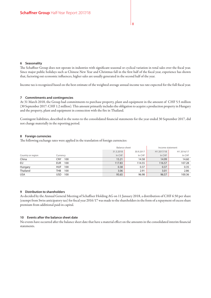#### **6 Seasonality**

The Schaffner Group does not operate in industries with significant seasonal or cyclical variation in total sales over the fiscal year. Since major public holidays such as Chinese New Year and Christmas fall in the frst half of the fscal year, experience has shown that, factoring out economic infuences, higher sales are usually generated in the second half of the year.

Income tax is recognized based on the best estimate of the weighted average annual income tax rate expected for the full fscal year.

#### **7 Commitments and contingencies**

At 31 March 2018, the Group had commitments to purchase property, plant and equipment in the amount of CHF 5.5 million (30 September 2017: CHF 1.2 million). This amount primarily includes the obligation to acquire a production property in Hungary and the property, plant and equipment in connection with the fire in Thailand.

Contingent liabilities, described in the notes to the consolidated fnancial statements for the year ended 30 September 2017, did not change materially in the reporting period.

#### **8 Foreign currencies**

The following exchange rates were applied in the translation of foreign currencies:

|                   |                   |           | <b>Balance sheet</b> |            | Income statement |  |
|-------------------|-------------------|-----------|----------------------|------------|------------------|--|
|                   |                   | 31.3.2018 | 30.9.2017            | H1 2017/18 | H1 2016/17       |  |
| Country or region | Currency          | In CHF    | In CHF               | In CHF     | In CHF           |  |
| China             | CNY<br>100        | 15.21     | 14.58                | 14.99      | 14.60            |  |
| EU                | <b>EUR</b><br>100 | 117.83    | 114.55               | 116.57     | 107.28           |  |
| Hungary           | <b>HUF</b><br>100 | 0.38      | 0.37                 | 0.37       | 0.35             |  |
| Thailand          | THB<br>100        | 3.06      | 2.91                 | 3.01       | 2.86             |  |
| <b>USA</b>        | USD<br>100        | 95.65     | 96.98                | 96.57      | 100.36           |  |

#### **9 Distribution to shareholders**

As decided by the Annual General Meeting of Schafner Holding AG on 11 January 2018, a distribution of CHF 6.50 per share (exempt from Swiss anticipatory tax) for fscal year 2016/17 was made to the shareholders in the form of a repayment of excess share premium from additional paid-in capital.

#### **10 Events after the balance sheet date**

No events have occurred afer the balance sheet date that have a material efect on the amounts in the consolidated interim fnancial statements.